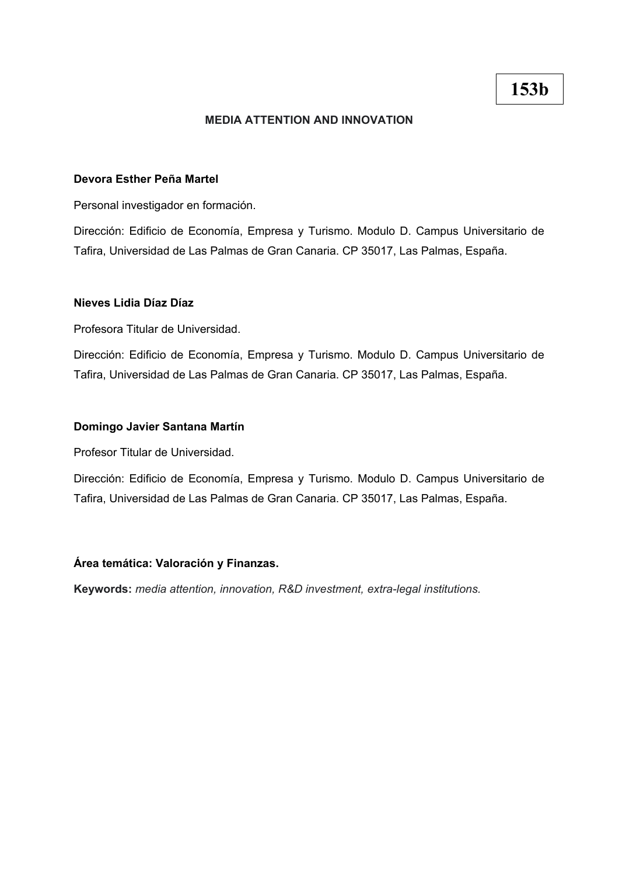## **MEDIA ATTENTION AND INNOVATION**

### **Devora Esther Peña Martel**

Personal investigador en formación.

Dirección: Edificio de Economía, Empresa y Turismo. Modulo D. Campus Universitario de Tafira, Universidad de Las Palmas de Gran Canaria. CP 35017, Las Palmas, España.

#### **Nieves Lidia Díaz Díaz**

Profesora Titular de Universidad.

Dirección: Edificio de Economía, Empresa y Turismo. Modulo D. Campus Universitario de Tafira, Universidad de Las Palmas de Gran Canaria. CP 35017, Las Palmas, España.

#### **Domingo Javier Santana Martín**

Profesor Titular de Universidad.

Dirección: Edificio de Economía, Empresa y Turismo. Modulo D. Campus Universitario de Tafira, Universidad de Las Palmas de Gran Canaria. CP 35017, Las Palmas, España.

# **Área temática: Valoración y Finanzas.**

**Keywords:** *media attention, innovation, R&D investment, extra-legal institutions.*